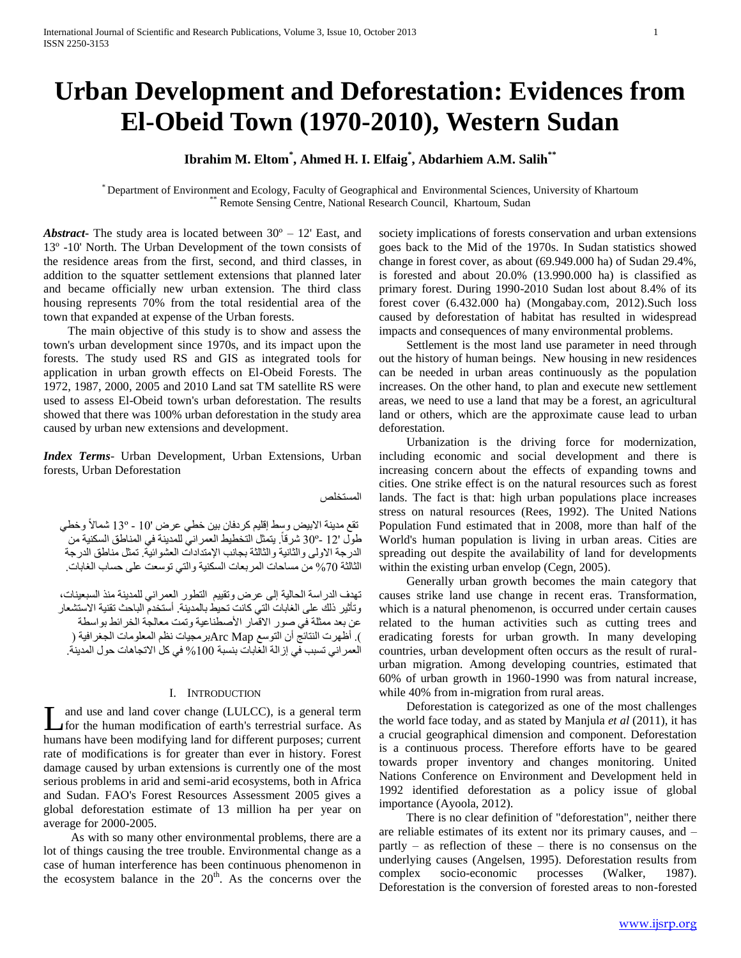# **Urban Development and Deforestation: Evidences from El-Obeid Town (1970-2010), Western Sudan**

# **Ibrahim M. Eltom\* , Ahmed H. I. Elfaig\* , Abdarhiem A.M. Salih\*\***

\* Department of Environment and Ecology, Faculty of Geographical and Environmental Sciences, University of Khartoum Remote Sensing Centre, National Research Council, Khartoum, Sudan

*Abstract***-** The study area is located between  $30^{\circ}$  – 12' East, and 13º -10' North. The Urban Development of the town consists of the residence areas from the first, second, and third classes, in addition to the squatter settlement extensions that planned later and became officially new urban extension. The third class housing represents 70% from the total residential area of the town that expanded at expense of the Urban forests.

 The main objective of this study is to show and assess the town's urban development since 1970s, and its impact upon the forests. The study used RS and GIS as integrated tools for application in urban growth effects on El-Obeid Forests. The 1972, 1987, 2000, 2005 and 2010 Land sat TM satellite RS were used to assess El-Obeid town's urban deforestation. The results showed that there was 100% urban deforestation in the study area caused by urban new extensions and development.

*Index Terms*- Urban Development, Urban Extensions, Urban forests, Urban Deforestation

المستخلص

تقع مدينة الابيض وسط إقليم كردفان بين خطي عرض '01 - °13 شمالاً وخطي طول '12 -30° شرقاً. يتمثل التخطيط العمر اني للمدينة في المناطق السكنية من ً الدرجة الاولى والثانية والثالثة بجانب الإمتدادات العشوائية. تمثل مناطق الدرجة الثالثة %01 من مساحات المربعات السكنية والتي توسعت على حساب الغابات.

تهدف الدراسة الحالية إلى عرض وتقييم التطور العمراني للمدينة منذ السبعينات، وتأثير ذلك على الغابات التي كانت تحيط بالمدينة. أستخدم الباحث تقنية االستشعار عن بعد ممثلة في صور الاقمار الأصطناعية وتمت معالجة الخرائط بواسطة ). أظهرت النتائج أن التوسع Arc Mapبرمجيات نظم المعلومات الجغرافية ( العمر اني تسبب في إزالة الغابات بنسبة 100% في كل الاتجاهات حول المدينة.

#### I. INTRODUCTION

and use and land cover change (LULCC), is a general term for the human modification of earth's terrestrial surface. As humans have been modifying land for different purposes; current rate of modifications is for greater than ever in history. Forest damage caused by urban extensions is currently one of the most serious problems in arid and semi-arid ecosystems, both in Africa and Sudan. FAO's Forest Resources Assessment 2005 gives a global deforestation estimate of 13 million ha per year on average for 2000-2005. L

 As with so many other environmental problems, there are a lot of things causing the tree trouble. Environmental change as a case of human interference has been continuous phenomenon in the ecosystem balance in the  $20<sup>th</sup>$ . As the concerns over the society implications of forests conservation and urban extensions goes back to the Mid of the 1970s. In Sudan statistics showed change in forest cover, as about (69.949.000 ha) of Sudan 29.4%, is forested and about 20.0% (13.990.000 ha) is classified as primary forest. During 1990-2010 Sudan lost about 8.4% of its forest cover (6.432.000 ha) (Mongabay.com, 2012).Such loss caused by deforestation of habitat has resulted in widespread impacts and consequences of many environmental problems.

 Settlement is the most land use parameter in need through out the history of human beings. New housing in new residences can be needed in urban areas continuously as the population increases. On the other hand, to plan and execute new settlement areas, we need to use a land that may be a forest, an agricultural land or others, which are the approximate cause lead to urban deforestation.

 Urbanization is the driving force for modernization, including economic and social development and there is increasing concern about the effects of expanding towns and cities. One strike effect is on the natural resources such as forest lands. The fact is that: high urban populations place increases stress on natural resources (Rees, 1992). The United Nations Population Fund estimated that in 2008, more than half of the World's human population is living in urban areas. Cities are spreading out despite the availability of land for developments within the existing urban envelop (Cegn, 2005).

 Generally urban growth becomes the main category that causes strike land use change in recent eras. Transformation, which is a natural phenomenon, is occurred under certain causes related to the human activities such as cutting trees and eradicating forests for urban growth. In many developing countries, urban development often occurs as the result of ruralurban migration. Among developing countries, estimated that 60% of urban growth in 1960-1990 was from natural increase, while 40% from in-migration from rural areas.

 Deforestation is categorized as one of the most challenges the world face today, and as stated by Manjula *et al* (2011), it has a crucial geographical dimension and component. Deforestation is a continuous process. Therefore efforts have to be geared towards proper inventory and changes monitoring. United Nations Conference on Environment and Development held in 1992 identified deforestation as a policy issue of global importance (Ayoola, 2012).

 There is no clear definition of "deforestation", neither there are reliable estimates of its extent nor its primary causes, and – partly – as reflection of these – there is no consensus on the underlying causes (Angelsen, 1995). Deforestation results from complex socio-economic processes (Walker, 1987). Deforestation is the conversion of forested areas to non-forested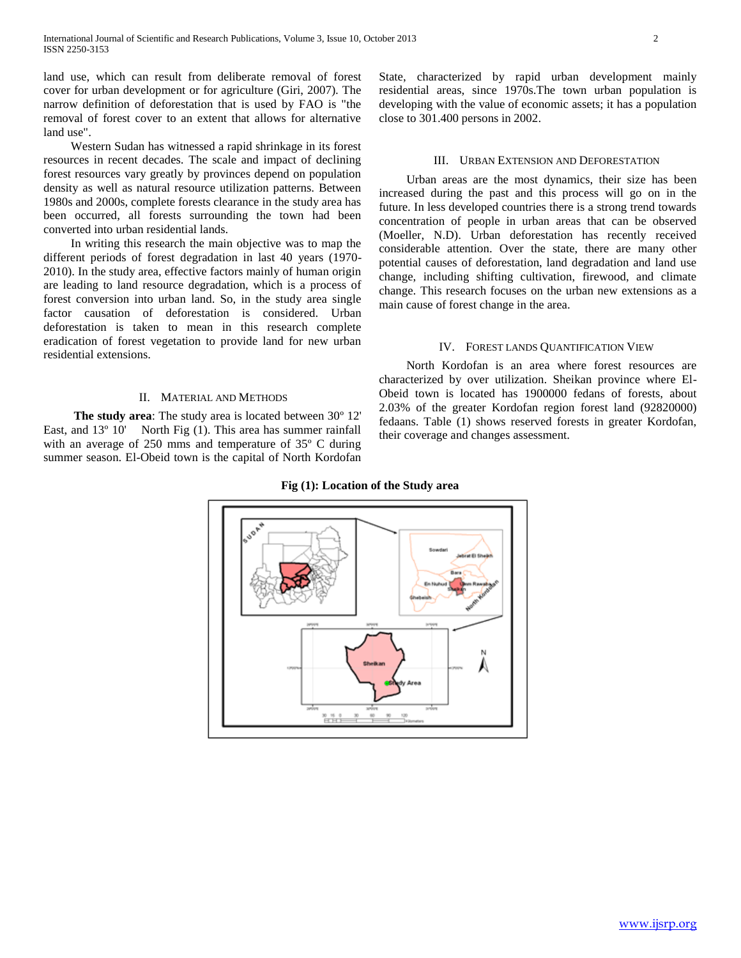land use, which can result from deliberate removal of forest cover for urban development or for agriculture (Giri, 2007). The narrow definition of deforestation that is used by FAO is "the removal of forest cover to an extent that allows for alternative land use".

 Western Sudan has witnessed a rapid shrinkage in its forest resources in recent decades. The scale and impact of declining forest resources vary greatly by provinces depend on population density as well as natural resource utilization patterns. Between 1980s and 2000s, complete forests clearance in the study area has been occurred, all forests surrounding the town had been converted into urban residential lands.

 In writing this research the main objective was to map the different periods of forest degradation in last 40 years (1970- 2010). In the study area, effective factors mainly of human origin are leading to land resource degradation, which is a process of forest conversion into urban land. So, in the study area single factor causation of deforestation is considered. Urban deforestation is taken to mean in this research complete eradication of forest vegetation to provide land for new urban residential extensions.

#### II. MATERIAL AND METHODS

 **The study area**: The study area is located between 30º 12' East, and 13° 10' North Fig (1). This area has summer rainfall with an average of 250 mms and temperature of 35º C during summer season. El-Obeid town is the capital of North Kordofan State, characterized by rapid urban development mainly residential areas, since 1970s.The town urban population is developing with the value of economic assets; it has a population close to 301.400 persons in 2002.

#### III. URBAN EXTENSION AND DEFORESTATION

 Urban areas are the most dynamics, their size has been increased during the past and this process will go on in the future. In less developed countries there is a strong trend towards concentration of people in urban areas that can be observed (Moeller, N.D). Urban deforestation has recently received considerable attention. Over the state, there are many other potential causes of deforestation, land degradation and land use change, including shifting cultivation, firewood, and climate change. This research focuses on the urban new extensions as a main cause of forest change in the area.

#### IV. FOREST LANDS QUANTIFICATION VIEW

 North Kordofan is an area where forest resources are characterized by over utilization. Sheikan province where El-Obeid town is located has 1900000 fedans of forests, about 2.03% of the greater Kordofan region forest land (92820000) fedaans. Table (1) shows reserved forests in greater Kordofan, their coverage and changes assessment.



#### **Fig (1): Location of the Study area**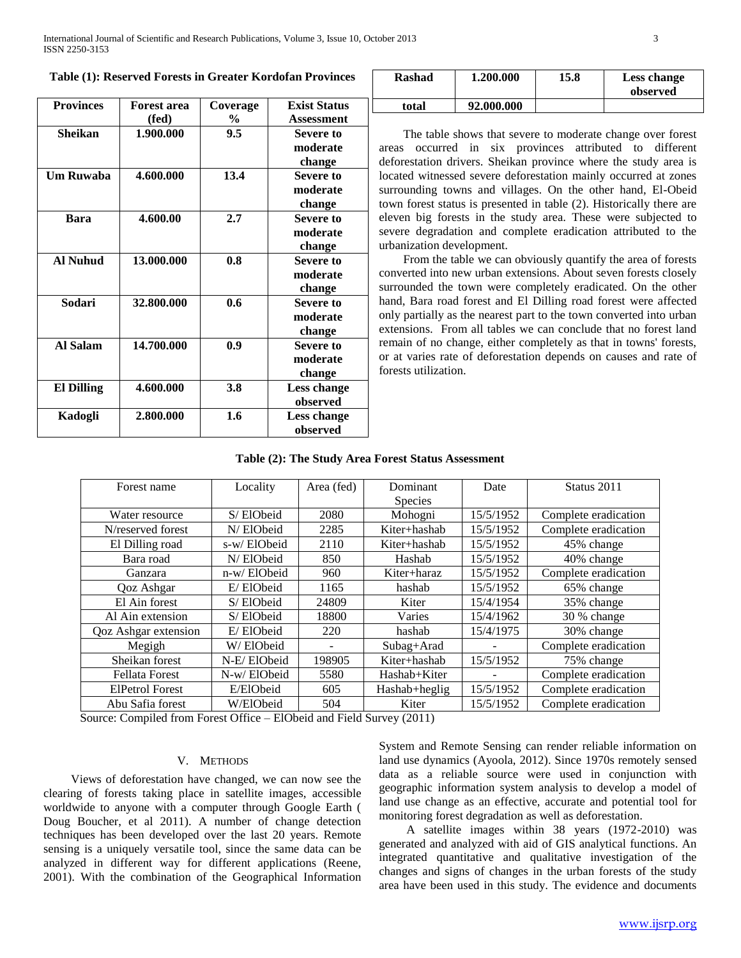| <b>Provinces</b> | <b>Forest area</b> | Coverage | <b>Exist Status</b> |
|------------------|--------------------|----------|---------------------|
|                  | (fed)              | $\%$     | Assessment          |
| Sheikan          | 1.900.000          | 9.5      | Severe to           |
|                  |                    |          | moderate            |
|                  |                    |          | change              |
| <b>Um Ruwaba</b> | 4.600.000          | 13.4     | Severe to           |
|                  |                    |          | moderate            |
|                  |                    |          | change              |
| Bara             | 4.600.00           | 2.7      | Severe to           |
|                  |                    |          | moderate            |
|                  |                    |          | change              |
| <b>Al Nuhud</b>  | 13.000.000         | 0.8      | Severe to           |
|                  |                    |          | moderate            |
|                  |                    |          | change              |
| Sodari           | 32.800.000         | 0.6      | <b>Severe to</b>    |
|                  |                    |          | moderate            |
|                  |                    |          | change              |
| Al Salam         | 14.700.000         | 0.9      | Severe to           |
|                  |                    |          | moderate            |
|                  |                    |          | change              |
| El Dilling       | 4.600.000          | 3.8      | <b>Less change</b>  |
|                  |                    |          | observed            |
| Kadogli          | 2.800.000          | 1.6      | Less change         |
|                  |                    |          | observed            |

| Rashad | 1.200.000  | 15.8 | Less change<br>observed |
|--------|------------|------|-------------------------|
| total  | 92.000.000 |      |                         |

 The table shows that severe to moderate change over forest areas occurred in six provinces attributed to different deforestation drivers. Sheikan province where the study area is located witnessed severe deforestation mainly occurred at zones surrounding towns and villages. On the other hand, El-Obeid town forest status is presented in table (2). Historically there are eleven big forests in the study area. These were subjected to severe degradation and complete eradication attributed to the urbanization development.

 From the table we can obviously quantify the area of forests converted into new urban extensions. About seven forests closely surrounded the town were completely eradicated. On the other hand, Bara road forest and El Dilling road forest were affected only partially as the nearest part to the town converted into urban extensions. From all tables we can conclude that no forest land remain of no change, either completely as that in towns' forests, or at varies rate of deforestation depends on causes and rate of forests utilization.

| Table (2): The Study Area Forest Status Assessment |
|----------------------------------------------------|
|----------------------------------------------------|

| Forest name            | Locality    | Area (fed) | Dominant       | Date      | Status 2011          |
|------------------------|-------------|------------|----------------|-----------|----------------------|
|                        |             |            | <b>Species</b> |           |                      |
| Water resource         | S/ElObeid   | 2080       | Mohogni        | 15/5/1952 | Complete eradication |
| N/reserved forest      | N/ElObeid   | 2285       | Kiter+hashab   | 15/5/1952 | Complete eradication |
| El Dilling road        | s-w/ElObeid | 2110       | Kiter+hashab   | 15/5/1952 | 45% change           |
| Bara road              | N/ElObeid   | 850        | Hashab         | 15/5/1952 | 40% change           |
| Ganzara                | n-w/ElObeid | 960        | Kiter+haraz    | 15/5/1952 | Complete eradication |
| Qoz Ashgar             | E/ElObeid   | 1165       | hashab         | 15/5/1952 | 65% change           |
| El Ain forest          | S/ElObeid   | 24809      | Kiter          | 15/4/1954 | 35% change           |
| Al Ain extension       | S/ElObeid   | 18800      | Varies         | 15/4/1962 | 30 % change          |
| Qoz Ashgar extension   | E/ElObeid   | 220        | hashab         | 15/4/1975 | 30% change           |
| Megigh                 | W/ElObeid   |            | Subag+Arad     |           | Complete eradication |
| Sheikan forest         | N-E/ElObeid | 198905     | Kiter+hashab   | 15/5/1952 | 75% change           |
| <b>Fellata Forest</b>  | N-w/ElObeid | 5580       | Hashab+Kiter   |           | Complete eradication |
| <b>ElPetrol Forest</b> | E/ElObeid   | 605        | Hashab+heglig  | 15/5/1952 | Complete eradication |
| Abu Safia forest       | W/ElObeid   | 504        | Kiter          | 15/5/1952 | Complete eradication |

Source: Compiled from Forest Office – ElObeid and Field Survey (2011)

#### V. METHODS

 Views of deforestation have changed, we can now see the clearing of forests taking place in satellite images, accessible worldwide to anyone with a computer through Google Earth ( Doug Boucher, et al 2011). A number of change detection techniques has been developed over the last 20 years. Remote sensing is a uniquely versatile tool, since the same data can be analyzed in different way for different applications (Reene, 2001). With the combination of the Geographical Information System and Remote Sensing can render reliable information on land use dynamics (Ayoola, 2012). Since 1970s remotely sensed data as a reliable source were used in conjunction with geographic information system analysis to develop a model of land use change as an effective, accurate and potential tool for monitoring forest degradation as well as deforestation.

 A satellite images within 38 years (1972-2010) was generated and analyzed with aid of GIS analytical functions. An integrated quantitative and qualitative investigation of the changes and signs of changes in the urban forests of the study area have been used in this study. The evidence and documents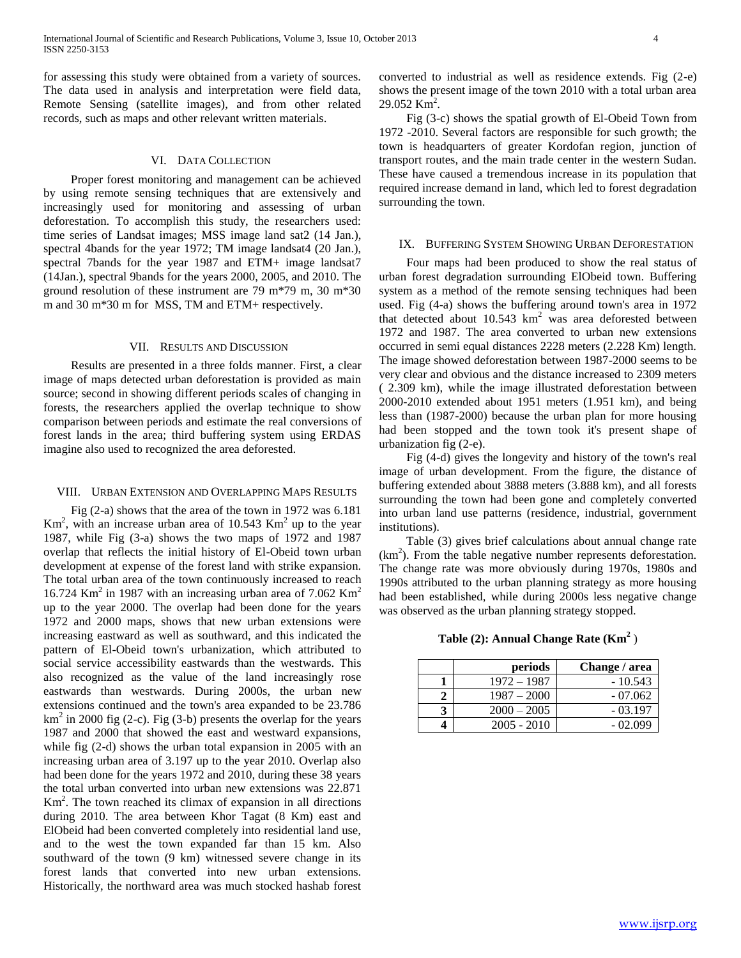for assessing this study were obtained from a variety of sources. The data used in analysis and interpretation were field data, Remote Sensing (satellite images), and from other related records, such as maps and other relevant written materials.

#### VI. DATA COLLECTION

 Proper forest monitoring and management can be achieved by using remote sensing techniques that are extensively and increasingly used for monitoring and assessing of urban deforestation. To accomplish this study, the researchers used: time series of Landsat images; MSS image land sat2 (14 Jan.), spectral 4bands for the year 1972; TM image landsat4 (20 Jan.), spectral 7bands for the year 1987 and ETM+ image landsat7 (14Jan.), spectral 9bands for the years 2000, 2005, and 2010. The ground resolution of these instrument are 79 m\*79 m, 30 m\*30 m and 30 m\*30 m for MSS, TM and ETM+ respectively.

#### VII. RESULTS AND DISCUSSION

 Results are presented in a three folds manner. First, a clear image of maps detected urban deforestation is provided as main source; second in showing different periods scales of changing in forests, the researchers applied the overlap technique to show comparison between periods and estimate the real conversions of forest lands in the area; third buffering system using ERDAS imagine also used to recognized the area deforested.

#### VIII. URBAN EXTENSION AND OVERLAPPING MAPS RESULTS

 Fig (2-a) shows that the area of the town in 1972 was 6.181  $\text{Km}^2$ , with an increase urban area of 10.543  $\text{Km}^2$  up to the year 1987, while Fig (3-a) shows the two maps of 1972 and 1987 overlap that reflects the initial history of El-Obeid town urban development at expense of the forest land with strike expansion. The total urban area of the town continuously increased to reach 16.724 Km<sup>2</sup> in 1987 with an increasing urban area of 7.062 Km<sup>2</sup> up to the year 2000. The overlap had been done for the years 1972 and 2000 maps, shows that new urban extensions were increasing eastward as well as southward, and this indicated the pattern of El-Obeid town's urbanization, which attributed to social service accessibility eastwards than the westwards. This also recognized as the value of the land increasingly rose eastwards than westwards. During 2000s, the urban new extensions continued and the town's area expanded to be 23.786  $km<sup>2</sup>$  in 2000 fig (2-c). Fig (3-b) presents the overlap for the years 1987 and 2000 that showed the east and westward expansions, while fig (2-d) shows the urban total expansion in 2005 with an increasing urban area of 3.197 up to the year 2010. Overlap also had been done for the years 1972 and 2010, during these 38 years the total urban converted into urban new extensions was 22.871 Km<sup>2</sup> . The town reached its climax of expansion in all directions during 2010. The area between Khor Tagat (8 Km) east and ElObeid had been converted completely into residential land use, and to the west the town expanded far than 15 km. Also southward of the town (9 km) witnessed severe change in its forest lands that converted into new urban extensions. Historically, the northward area was much stocked hashab forest

converted to industrial as well as residence extends. Fig (2-e) shows the present image of the town 2010 with a total urban area  $29.052$  Km<sup>2</sup>.

 Fig (3-c) shows the spatial growth of El-Obeid Town from 1972 -2010. Several factors are responsible for such growth; the town is headquarters of greater Kordofan region, junction of transport routes, and the main trade center in the western Sudan. These have caused a tremendous increase in its population that required increase demand in land, which led to forest degradation surrounding the town.

#### IX. BUFFERING SYSTEM SHOWING URBAN DEFORESTATION

 Four maps had been produced to show the real status of urban forest degradation surrounding ElObeid town. Buffering system as a method of the remote sensing techniques had been used. Fig (4-a) shows the buffering around town's area in 1972 that detected about  $10.543 \text{ km}^2$  was area deforested between 1972 and 1987. The area converted to urban new extensions occurred in semi equal distances 2228 meters (2.228 Km) length. The image showed deforestation between 1987-2000 seems to be very clear and obvious and the distance increased to 2309 meters ( 2.309 km), while the image illustrated deforestation between 2000-2010 extended about 1951 meters (1.951 km), and being less than (1987-2000) because the urban plan for more housing had been stopped and the town took it's present shape of urbanization fig (2-e).

 Fig (4-d) gives the longevity and history of the town's real image of urban development. From the figure, the distance of buffering extended about 3888 meters (3.888 km), and all forests surrounding the town had been gone and completely converted into urban land use patterns (residence, industrial, government institutions).

 Table (3) gives brief calculations about annual change rate  $(km<sup>2</sup>)$ . From the table negative number represents deforestation. The change rate was more obviously during 1970s, 1980s and 1990s attributed to the urban planning strategy as more housing had been established, while during 2000s less negative change was observed as the urban planning strategy stopped.

## **Table (2): Annual Change Rate (Km<sup>2</sup>** )

| periods       | Change / area |
|---------------|---------------|
| $1972 - 1987$ | $-10.543$     |
| $1987 - 2000$ | $-07.062$     |
| $2000 - 2005$ | $-03.197$     |
| $2005 - 2010$ | $-02.099$     |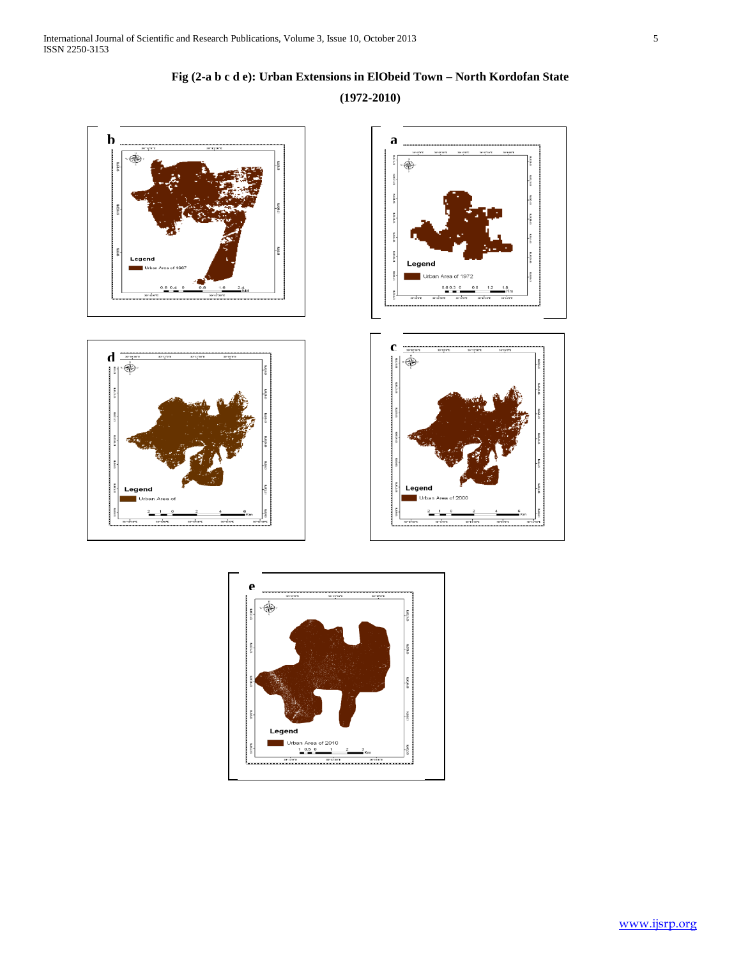



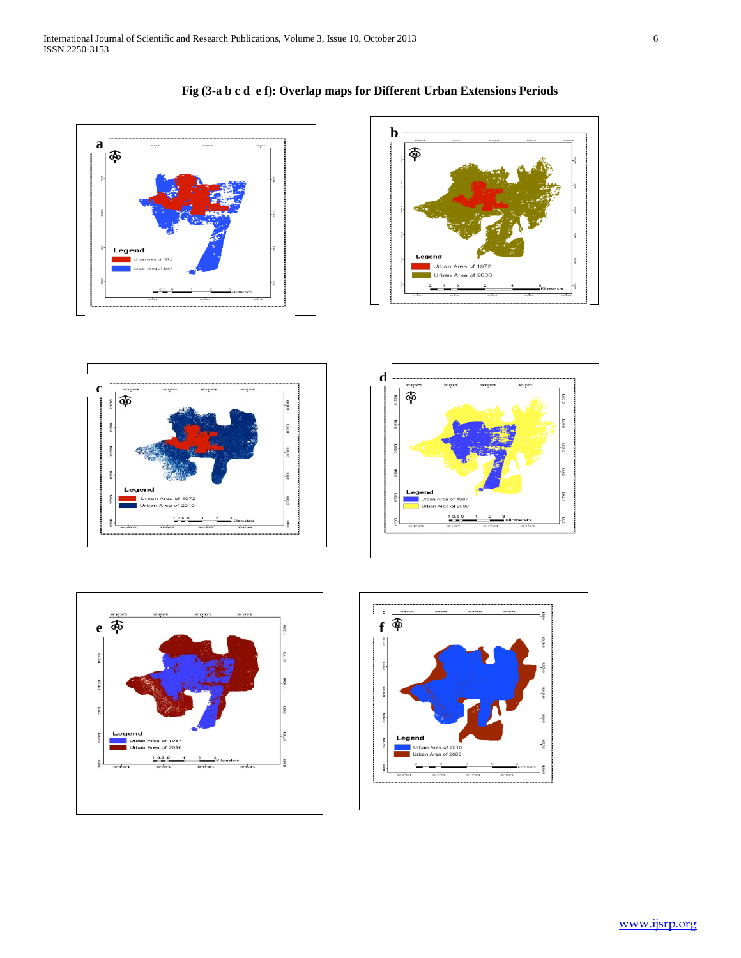











## **Fig (3-a b c d e f): Overlap maps for Different Urban Extensions Periods**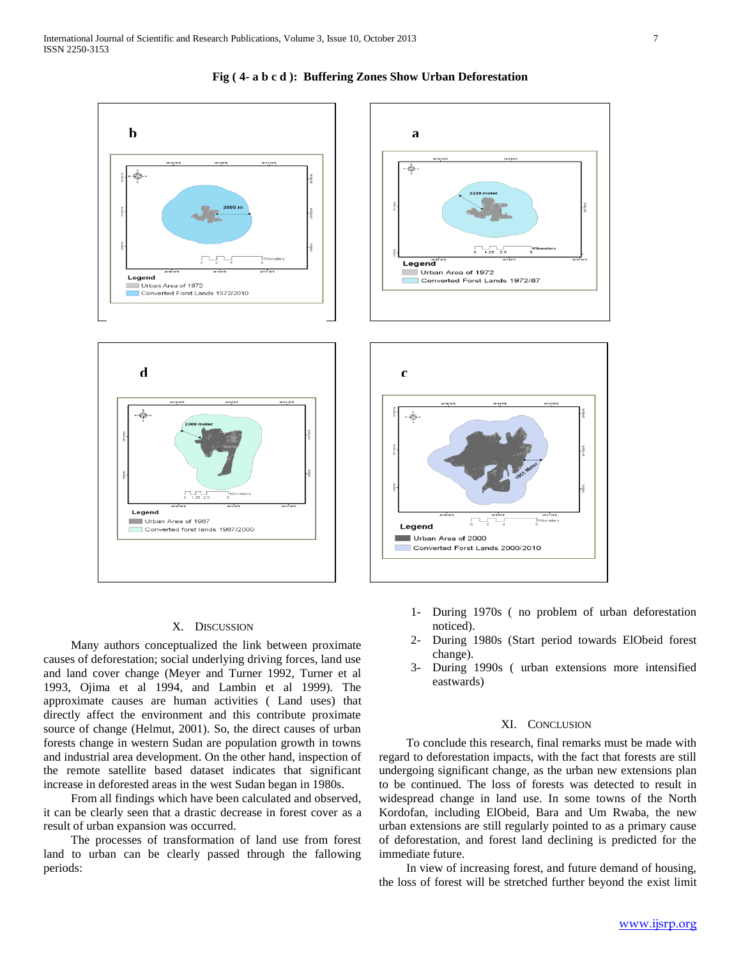

#### **Fig ( 4- a b c d ): Buffering Zones Show Urban Deforestation**

### X. DISCUSSION

 Many authors conceptualized the link between proximate causes of deforestation; social underlying driving forces, land use and land cover change (Meyer and Turner 1992, Turner et al 1993, Ojima et al 1994, and Lambin et al 1999). The approximate causes are human activities ( Land uses) that directly affect the environment and this contribute proximate source of change (Helmut, 2001). So, the direct causes of urban forests change in western Sudan are population growth in towns and industrial area development. On the other hand, inspection of the remote satellite based dataset indicates that significant increase in deforested areas in the west Sudan began in 1980s.

 From all findings which have been calculated and observed, it can be clearly seen that a drastic decrease in forest cover as a result of urban expansion was occurred.

 The processes of transformation of land use from forest land to urban can be clearly passed through the fallowing periods:

- 1- During 1970s ( no problem of urban deforestation noticed).
- 2- During 1980s (Start period towards ElObeid forest change).
- 3- During 1990s ( urban extensions more intensified eastwards)

#### XI. CONCLUSION

 To conclude this research, final remarks must be made with regard to deforestation impacts, with the fact that forests are still undergoing significant change, as the urban new extensions plan to be continued. The loss of forests was detected to result in widespread change in land use. In some towns of the North Kordofan, including ElObeid, Bara and Um Rwaba, the new urban extensions are still regularly pointed to as a primary cause of deforestation, and forest land declining is predicted for the immediate future.

 In view of increasing forest, and future demand of housing, the loss of forest will be stretched further beyond the exist limit